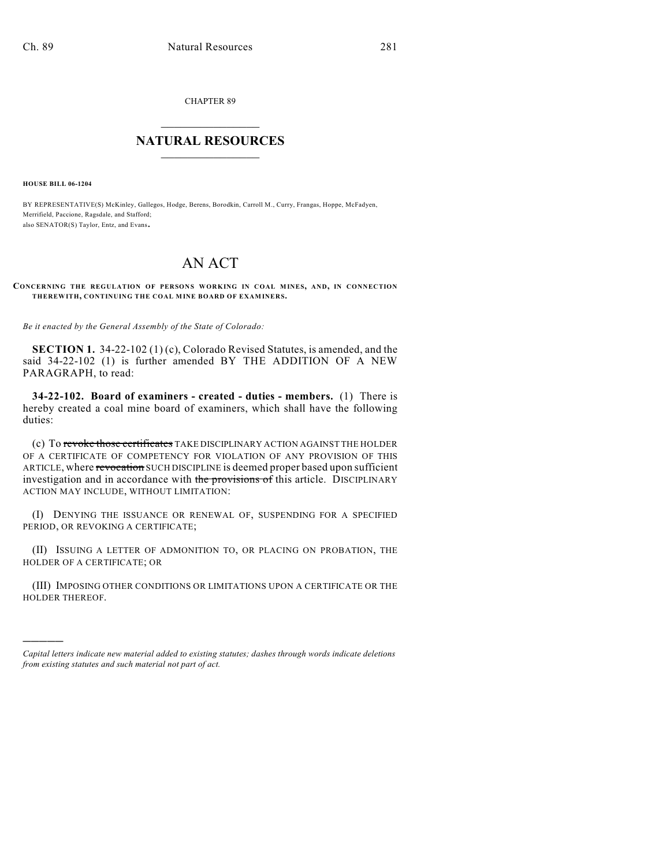CHAPTER 89

## $\overline{\phantom{a}}$  . The set of the set of the set of the set of the set of the set of the set of the set of the set of the set of the set of the set of the set of the set of the set of the set of the set of the set of the set o **NATURAL RESOURCES**  $\frac{1}{\sqrt{2}}$  , where  $\frac{1}{\sqrt{2}}$  ,  $\frac{1}{\sqrt{2}}$  ,  $\frac{1}{\sqrt{2}}$

**HOUSE BILL 06-1204**

)))))

BY REPRESENTATIVE(S) McKinley, Gallegos, Hodge, Berens, Borodkin, Carroll M., Curry, Frangas, Hoppe, McFadyen, Merrifield, Paccione, Ragsdale, and Stafford; also SENATOR(S) Taylor, Entz, and Evans.

## AN ACT

**CONCERNING THE REGULATION OF PERSONS WORKING IN COAL MINES, AND, IN CONNECTION THEREWITH, CONTINUING THE COAL MINE BOARD OF EXAMINERS.**

*Be it enacted by the General Assembly of the State of Colorado:*

**SECTION 1.** 34-22-102 (1) (c), Colorado Revised Statutes, is amended, and the said 34-22-102 (1) is further amended BY THE ADDITION OF A NEW PARAGRAPH, to read:

**34-22-102. Board of examiners - created - duties - members.** (1) There is hereby created a coal mine board of examiners, which shall have the following duties:

(c) To revoke those certificates TAKE DISCIPLINARY ACTION AGAINST THE HOLDER OF A CERTIFICATE OF COMPETENCY FOR VIOLATION OF ANY PROVISION OF THIS ARTICLE, where revocation SUCH DISCIPLINE is deemed proper based upon sufficient investigation and in accordance with the provisions of this article. DISCIPLINARY ACTION MAY INCLUDE, WITHOUT LIMITATION:

(I) DENYING THE ISSUANCE OR RENEWAL OF, SUSPENDING FOR A SPECIFIED PERIOD, OR REVOKING A CERTIFICATE;

(II) ISSUING A LETTER OF ADMONITION TO, OR PLACING ON PROBATION, THE HOLDER OF A CERTIFICATE; OR

(III) IMPOSING OTHER CONDITIONS OR LIMITATIONS UPON A CERTIFICATE OR THE HOLDER THEREOF.

*Capital letters indicate new material added to existing statutes; dashes through words indicate deletions from existing statutes and such material not part of act.*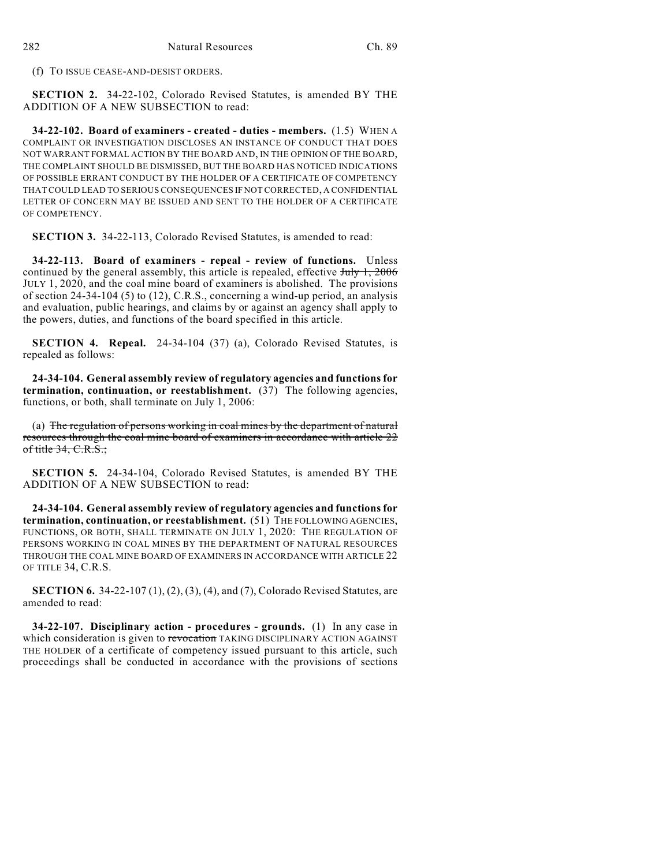(f) TO ISSUE CEASE-AND-DESIST ORDERS.

**SECTION 2.** 34-22-102, Colorado Revised Statutes, is amended BY THE ADDITION OF A NEW SUBSECTION to read:

**34-22-102. Board of examiners - created - duties - members.** (1.5) WHEN A COMPLAINT OR INVESTIGATION DISCLOSES AN INSTANCE OF CONDUCT THAT DOES NOT WARRANT FORMAL ACTION BY THE BOARD AND, IN THE OPINION OF THE BOARD, THE COMPLAINT SHOULD BE DISMISSED, BUT THE BOARD HAS NOTICED INDICATIONS OF POSSIBLE ERRANT CONDUCT BY THE HOLDER OF A CERTIFICATE OF COMPETENCY THAT COULD LEAD TO SERIOUS CONSEQUENCES IF NOT CORRECTED, A CONFIDENTIAL LETTER OF CONCERN MAY BE ISSUED AND SENT TO THE HOLDER OF A CERTIFICATE OF COMPETENCY.

**SECTION 3.** 34-22-113, Colorado Revised Statutes, is amended to read:

**34-22-113. Board of examiners - repeal - review of functions.** Unless continued by the general assembly, this article is repealed, effective  $J_{\text{t}}$   $J_{\text{t}}$   $\rightarrow$   $1, 2006$ JULY 1, 2020, and the coal mine board of examiners is abolished. The provisions of section 24-34-104 (5) to (12), C.R.S., concerning a wind-up period, an analysis and evaluation, public hearings, and claims by or against an agency shall apply to the powers, duties, and functions of the board specified in this article.

**SECTION 4. Repeal.** 24-34-104 (37) (a), Colorado Revised Statutes, is repealed as follows:

**24-34-104. General assembly review of regulatory agencies and functions for termination, continuation, or reestablishment.** (37) The following agencies, functions, or both, shall terminate on July 1, 2006:

(a) The regulation of persons working in coal mines by the department of natural resources through the coal mine board of examiners in accordance with article 22 of title  $34, C.R.S.$ ;

**SECTION 5.** 24-34-104, Colorado Revised Statutes, is amended BY THE ADDITION OF A NEW SUBSECTION to read:

**24-34-104. General assembly review of regulatory agencies and functions for termination, continuation, or reestablishment.** (51) THE FOLLOWING AGENCIES, FUNCTIONS, OR BOTH, SHALL TERMINATE ON JULY 1, 2020: THE REGULATION OF PERSONS WORKING IN COAL MINES BY THE DEPARTMENT OF NATURAL RESOURCES THROUGH THE COAL MINE BOARD OF EXAMINERS IN ACCORDANCE WITH ARTICLE 22 OF TITLE 34, C.R.S.

**SECTION 6.** 34-22-107 (1), (2), (3), (4), and (7), Colorado Revised Statutes, are amended to read:

**34-22-107. Disciplinary action - procedures - grounds.** (1) In any case in which consideration is given to revocation TAKING DISCIPLINARY ACTION AGAINST THE HOLDER of a certificate of competency issued pursuant to this article, such proceedings shall be conducted in accordance with the provisions of sections